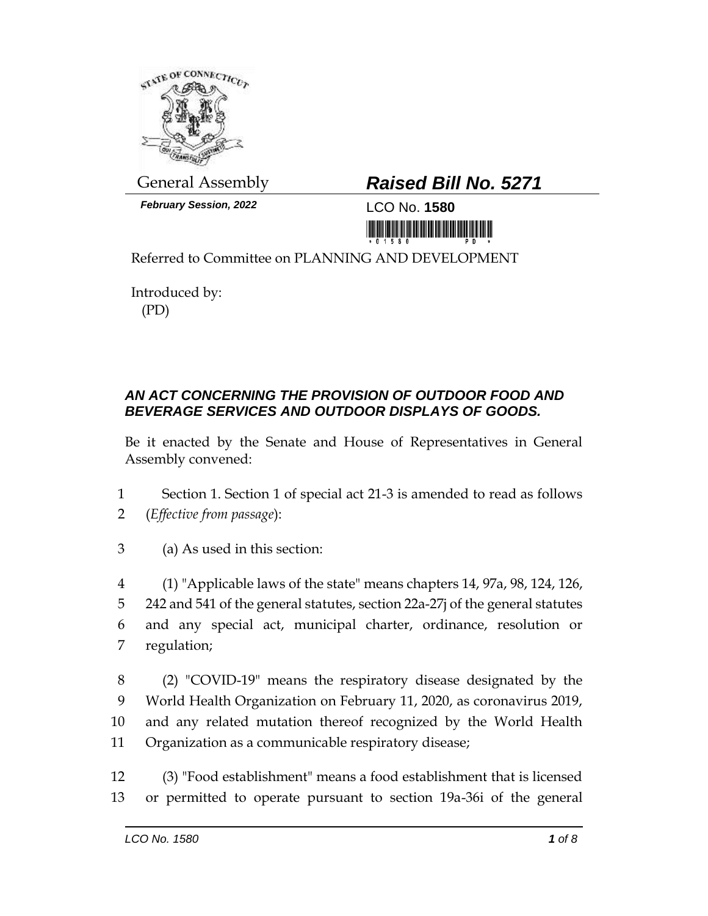

*February Session, 2022* LCO No. **1580**

## General Assembly *Raised Bill No. 5271*

<u> III Militar Album Maria Maria Maria Maria Maria Maria Maria Maria Maria Maria Maria Maria Maria Maria Maria M</u>

Referred to Committee on PLANNING AND DEVELOPMENT

Introduced by: (PD)

## *AN ACT CONCERNING THE PROVISION OF OUTDOOR FOOD AND BEVERAGE SERVICES AND OUTDOOR DISPLAYS OF GOODS.*

Be it enacted by the Senate and House of Representatives in General Assembly convened:

- 1 Section 1. Section 1 of special act 21-3 is amended to read as follows 2 (*Effective from passage*):
- 3 (a) As used in this section:
- 4 (1) "Applicable laws of the state" means chapters 14, 97a, 98, 124, 126, 5 242 and 541 of the general statutes, section 22a-27j of the general statutes 6 and any special act, municipal charter, ordinance, resolution or 7 regulation;
- 8 (2) "COVID-19" means the respiratory disease designated by the 9 World Health Organization on February 11, 2020, as coronavirus 2019, 10 and any related mutation thereof recognized by the World Health 11 Organization as a communicable respiratory disease;
- 12 (3) "Food establishment" means a food establishment that is licensed 13 or permitted to operate pursuant to section 19a-36i of the general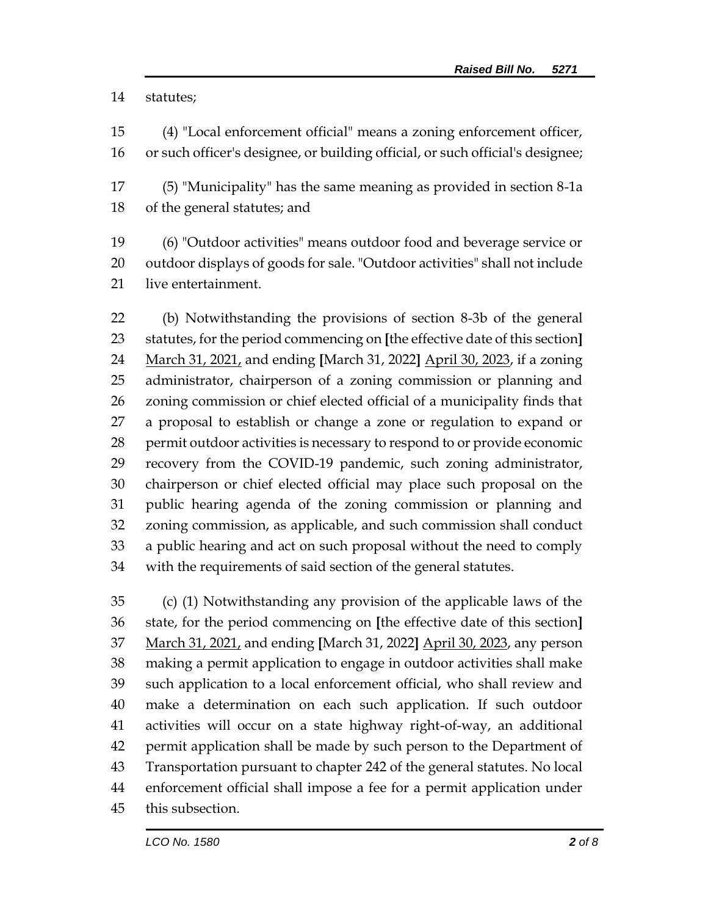statutes;

- (4) "Local enforcement official" means a zoning enforcement officer, or such officer's designee, or building official, or such official's designee;
- (5) "Municipality" has the same meaning as provided in section 8-1a of the general statutes; and
- (6) "Outdoor activities" means outdoor food and beverage service or outdoor displays of goods for sale. "Outdoor activities" shall not include live entertainment.

 (b) Notwithstanding the provisions of section 8-3b of the general statutes, for the period commencing on **[**the effective date of this section**]** March 31, 2021, and ending **[**March 31, 2022**]** April 30, 2023, if a zoning administrator, chairperson of a zoning commission or planning and zoning commission or chief elected official of a municipality finds that a proposal to establish or change a zone or regulation to expand or permit outdoor activities is necessary to respond to or provide economic recovery from the COVID-19 pandemic, such zoning administrator, chairperson or chief elected official may place such proposal on the public hearing agenda of the zoning commission or planning and zoning commission, as applicable, and such commission shall conduct a public hearing and act on such proposal without the need to comply with the requirements of said section of the general statutes.

 (c) (1) Notwithstanding any provision of the applicable laws of the state, for the period commencing on **[**the effective date of this section**]** March 31, 2021, and ending **[**March 31, 2022**]** April 30, 2023, any person making a permit application to engage in outdoor activities shall make such application to a local enforcement official, who shall review and make a determination on each such application. If such outdoor activities will occur on a state highway right-of-way, an additional permit application shall be made by such person to the Department of Transportation pursuant to chapter 242 of the general statutes. No local enforcement official shall impose a fee for a permit application under this subsection.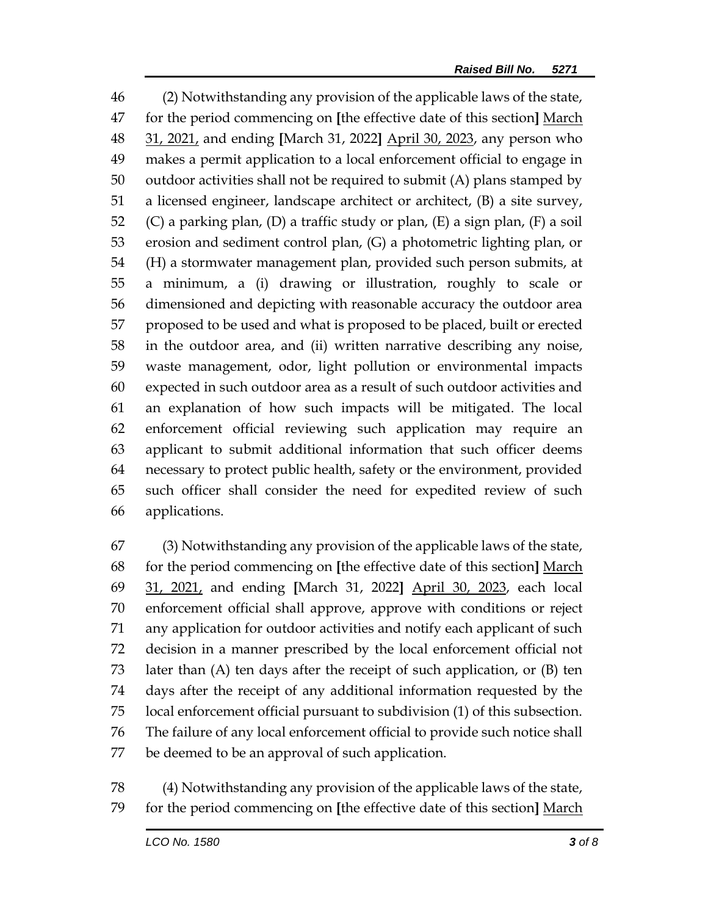(2) Notwithstanding any provision of the applicable laws of the state, for the period commencing on **[**the effective date of this section**]** March 31, 2021, and ending **[**March 31, 2022**]** April 30, 2023, any person who makes a permit application to a local enforcement official to engage in outdoor activities shall not be required to submit (A) plans stamped by a licensed engineer, landscape architect or architect, (B) a site survey, (C) a parking plan, (D) a traffic study or plan, (E) a sign plan, (F) a soil erosion and sediment control plan, (G) a photometric lighting plan, or (H) a stormwater management plan, provided such person submits, at a minimum, a (i) drawing or illustration, roughly to scale or dimensioned and depicting with reasonable accuracy the outdoor area proposed to be used and what is proposed to be placed, built or erected in the outdoor area, and (ii) written narrative describing any noise, waste management, odor, light pollution or environmental impacts expected in such outdoor area as a result of such outdoor activities and an explanation of how such impacts will be mitigated. The local enforcement official reviewing such application may require an applicant to submit additional information that such officer deems necessary to protect public health, safety or the environment, provided such officer shall consider the need for expedited review of such applications.

 (3) Notwithstanding any provision of the applicable laws of the state, for the period commencing on **[**the effective date of this section**]** March 31, 2021, and ending **[**March 31, 2022**]** April 30, 2023, each local enforcement official shall approve, approve with conditions or reject any application for outdoor activities and notify each applicant of such decision in a manner prescribed by the local enforcement official not later than (A) ten days after the receipt of such application, or (B) ten days after the receipt of any additional information requested by the local enforcement official pursuant to subdivision (1) of this subsection. The failure of any local enforcement official to provide such notice shall be deemed to be an approval of such application.

 (4) Notwithstanding any provision of the applicable laws of the state, for the period commencing on **[**the effective date of this section**]** March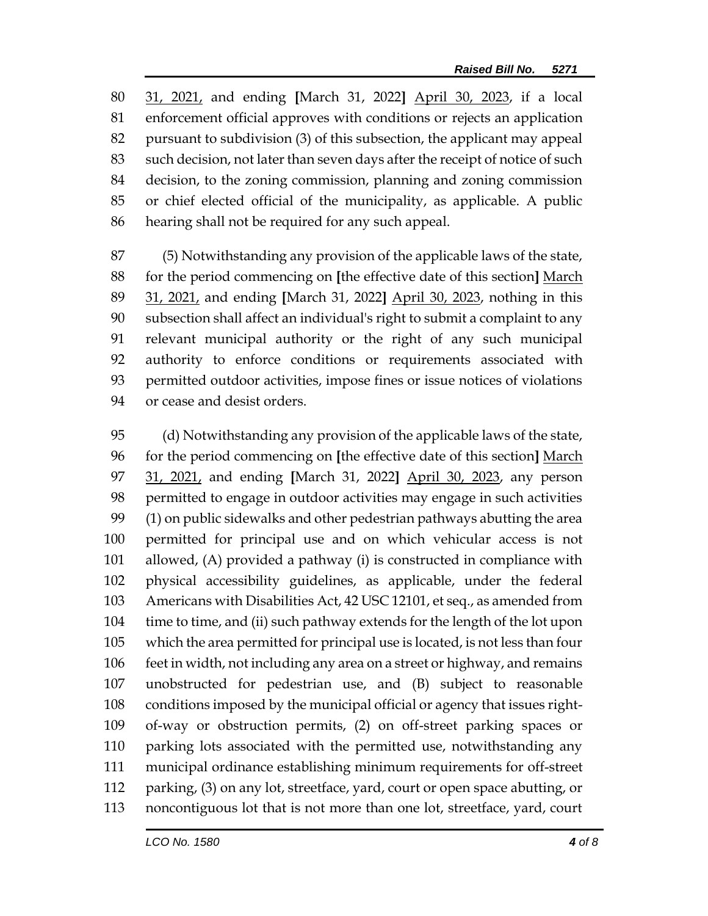31, 2021, and ending **[**March 31, 2022**]** April 30, 2023, if a local enforcement official approves with conditions or rejects an application pursuant to subdivision (3) of this subsection, the applicant may appeal such decision, not later than seven days after the receipt of notice of such decision, to the zoning commission, planning and zoning commission or chief elected official of the municipality, as applicable. A public hearing shall not be required for any such appeal.

 (5) Notwithstanding any provision of the applicable laws of the state, for the period commencing on **[**the effective date of this section**]** March 31, 2021, and ending **[**March 31, 2022**]** April 30, 2023, nothing in this subsection shall affect an individual's right to submit a complaint to any relevant municipal authority or the right of any such municipal authority to enforce conditions or requirements associated with permitted outdoor activities, impose fines or issue notices of violations or cease and desist orders.

 (d) Notwithstanding any provision of the applicable laws of the state, for the period commencing on **[**the effective date of this section**]** March 31, 2021, and ending **[**March 31, 2022**]** April 30, 2023, any person permitted to engage in outdoor activities may engage in such activities (1) on public sidewalks and other pedestrian pathways abutting the area permitted for principal use and on which vehicular access is not allowed, (A) provided a pathway (i) is constructed in compliance with physical accessibility guidelines, as applicable, under the federal Americans with Disabilities Act, 42 USC 12101, et seq., as amended from time to time, and (ii) such pathway extends for the length of the lot upon which the area permitted for principal use is located, is not less than four feet in width, not including any area on a street or highway, and remains unobstructed for pedestrian use, and (B) subject to reasonable conditions imposed by the municipal official or agency that issues right- of-way or obstruction permits, (2) on off-street parking spaces or parking lots associated with the permitted use, notwithstanding any municipal ordinance establishing minimum requirements for off-street parking, (3) on any lot, streetface, yard, court or open space abutting, or noncontiguous lot that is not more than one lot, streetface, yard, court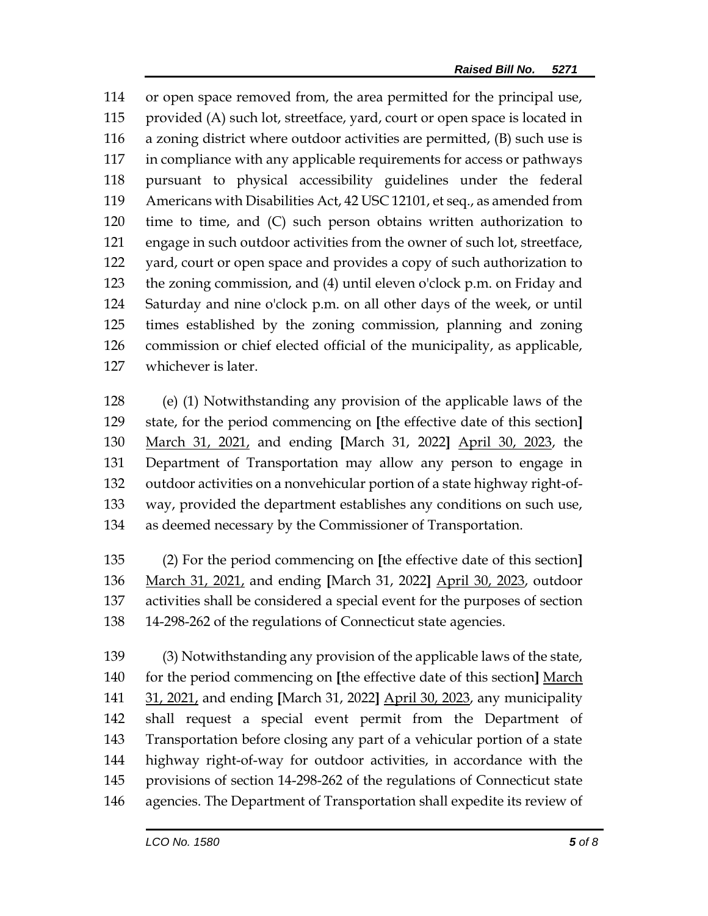or open space removed from, the area permitted for the principal use, provided (A) such lot, streetface, yard, court or open space is located in a zoning district where outdoor activities are permitted, (B) such use is in compliance with any applicable requirements for access or pathways pursuant to physical accessibility guidelines under the federal Americans with Disabilities Act, 42 USC 12101, et seq., as amended from time to time, and (C) such person obtains written authorization to engage in such outdoor activities from the owner of such lot, streetface, yard, court or open space and provides a copy of such authorization to the zoning commission, and (4) until eleven o'clock p.m. on Friday and Saturday and nine o'clock p.m. on all other days of the week, or until times established by the zoning commission, planning and zoning commission or chief elected official of the municipality, as applicable, whichever is later.

 (e) (1) Notwithstanding any provision of the applicable laws of the state, for the period commencing on **[**the effective date of this section**]** March 31, 2021, and ending **[**March 31, 2022**]** April 30, 2023, the Department of Transportation may allow any person to engage in outdoor activities on a nonvehicular portion of a state highway right-of- way, provided the department establishes any conditions on such use, as deemed necessary by the Commissioner of Transportation.

 (2) For the period commencing on **[**the effective date of this section**]** March 31, 2021, and ending **[**March 31, 2022**]** April 30, 2023, outdoor activities shall be considered a special event for the purposes of section 14-298-262 of the regulations of Connecticut state agencies.

 (3) Notwithstanding any provision of the applicable laws of the state, for the period commencing on **[**the effective date of this section**]** March 31, 2021, and ending **[**March 31, 2022**]** April 30, 2023, any municipality shall request a special event permit from the Department of Transportation before closing any part of a vehicular portion of a state highway right-of-way for outdoor activities, in accordance with the provisions of section 14-298-262 of the regulations of Connecticut state agencies. The Department of Transportation shall expedite its review of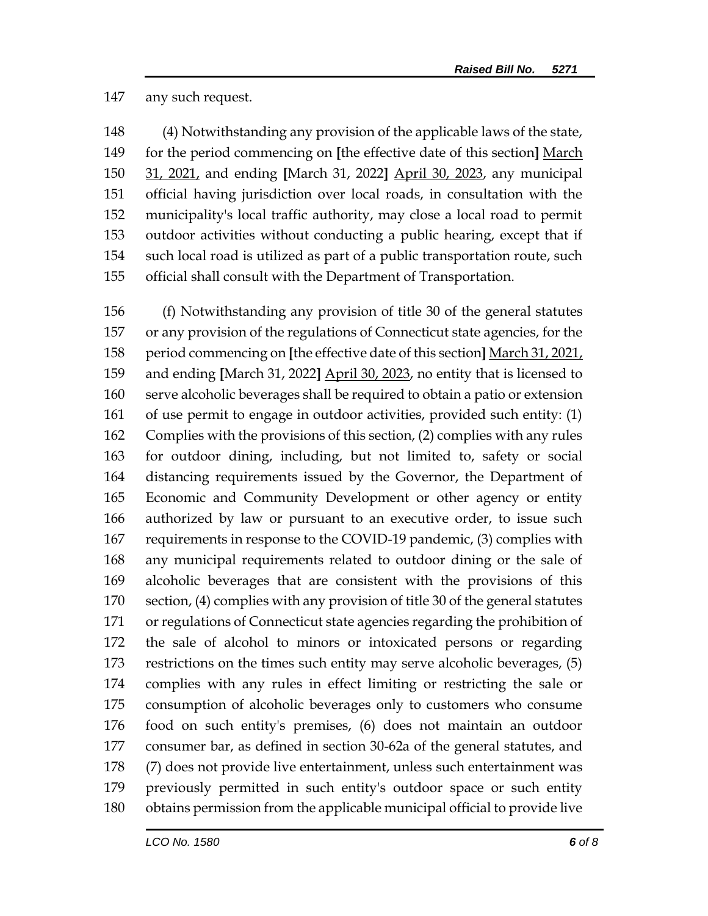## any such request.

 (4) Notwithstanding any provision of the applicable laws of the state, for the period commencing on **[**the effective date of this section**]** March 31, 2021, and ending **[**March 31, 2022**]** April 30, 2023, any municipal official having jurisdiction over local roads, in consultation with the municipality's local traffic authority, may close a local road to permit outdoor activities without conducting a public hearing, except that if such local road is utilized as part of a public transportation route, such official shall consult with the Department of Transportation.

 (f) Notwithstanding any provision of title 30 of the general statutes or any provision of the regulations of Connecticut state agencies, for the period commencing on **[**the effective date of this section**]** March 31, 2021, and ending **[**March 31, 2022**]** April 30, 2023, no entity that is licensed to serve alcoholic beverages shall be required to obtain a patio or extension of use permit to engage in outdoor activities, provided such entity: (1) Complies with the provisions of this section, (2) complies with any rules for outdoor dining, including, but not limited to, safety or social distancing requirements issued by the Governor, the Department of Economic and Community Development or other agency or entity authorized by law or pursuant to an executive order, to issue such requirements in response to the COVID-19 pandemic, (3) complies with any municipal requirements related to outdoor dining or the sale of alcoholic beverages that are consistent with the provisions of this section, (4) complies with any provision of title 30 of the general statutes or regulations of Connecticut state agencies regarding the prohibition of the sale of alcohol to minors or intoxicated persons or regarding restrictions on the times such entity may serve alcoholic beverages, (5) complies with any rules in effect limiting or restricting the sale or consumption of alcoholic beverages only to customers who consume food on such entity's premises, (6) does not maintain an outdoor consumer bar, as defined in section 30-62a of the general statutes, and (7) does not provide live entertainment, unless such entertainment was previously permitted in such entity's outdoor space or such entity obtains permission from the applicable municipal official to provide live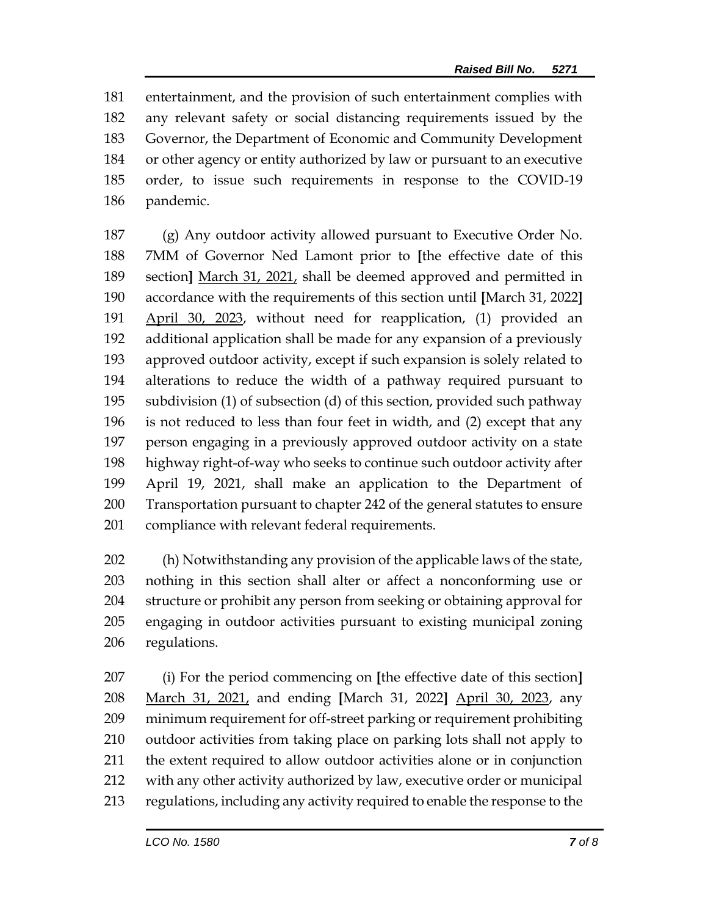entertainment, and the provision of such entertainment complies with any relevant safety or social distancing requirements issued by the Governor, the Department of Economic and Community Development or other agency or entity authorized by law or pursuant to an executive order, to issue such requirements in response to the COVID-19 pandemic.

 (g) Any outdoor activity allowed pursuant to Executive Order No. 7MM of Governor Ned Lamont prior to **[**the effective date of this section**]** March 31, 2021, shall be deemed approved and permitted in accordance with the requirements of this section until **[**March 31, 2022**]** April 30, 2023, without need for reapplication, (1) provided an additional application shall be made for any expansion of a previously approved outdoor activity, except if such expansion is solely related to alterations to reduce the width of a pathway required pursuant to subdivision (1) of subsection (d) of this section, provided such pathway is not reduced to less than four feet in width, and (2) except that any person engaging in a previously approved outdoor activity on a state highway right-of-way who seeks to continue such outdoor activity after April 19, 2021, shall make an application to the Department of Transportation pursuant to chapter 242 of the general statutes to ensure compliance with relevant federal requirements.

 (h) Notwithstanding any provision of the applicable laws of the state, nothing in this section shall alter or affect a nonconforming use or structure or prohibit any person from seeking or obtaining approval for engaging in outdoor activities pursuant to existing municipal zoning regulations.

 (i) For the period commencing on **[**the effective date of this section**]** March 31, 2021, and ending **[**March 31, 2022**]** April 30, 2023, any minimum requirement for off-street parking or requirement prohibiting outdoor activities from taking place on parking lots shall not apply to the extent required to allow outdoor activities alone or in conjunction with any other activity authorized by law, executive order or municipal regulations, including any activity required to enable the response to the